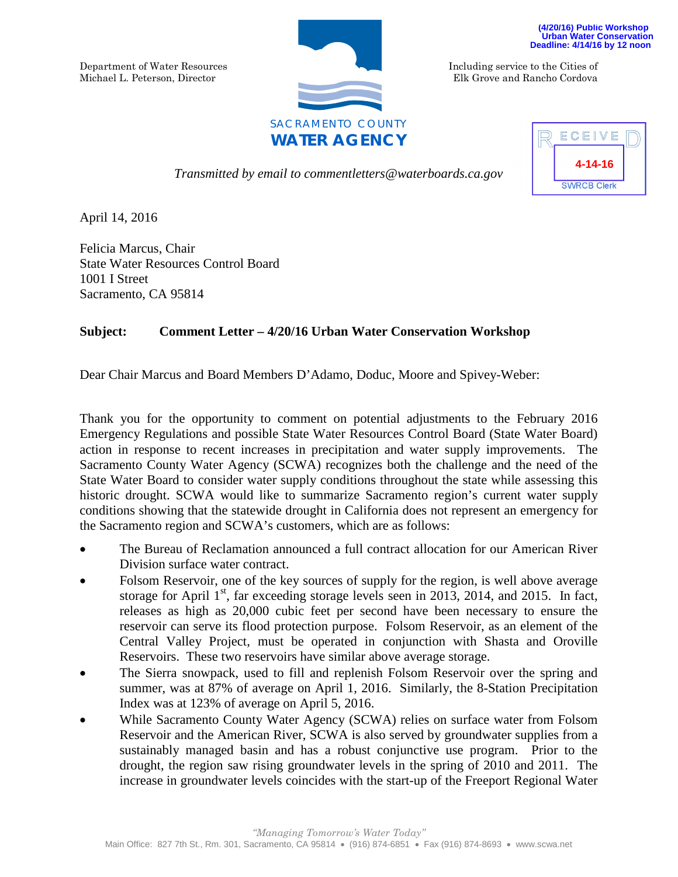Department of Water Resources Michael L. Peterson, Director



**(4/20/16) Public Workshop Urban Water Conservation Deadline: 4/14/16 by 12 noon** 

Including service to the Cities of Elk Grove and Rancho Cordova

*Transmitted by email to commentletters@waterboards.ca.gov*



April 14, 2016

Felicia Marcus, Chair State Water Resources Control Board 1001 I Street Sacramento, CA 95814

## **Subject: Comment Letter – 4/20/16 Urban Water Conservation Workshop**

Dear Chair Marcus and Board Members D'Adamo, Doduc, Moore and Spivey-Weber:

Thank you for the opportunity to comment on potential adjustments to the February 2016 Emergency Regulations and possible State Water Resources Control Board (State Water Board) action in response to recent increases in precipitation and water supply improvements. The Sacramento County Water Agency (SCWA) recognizes both the challenge and the need of the State Water Board to consider water supply conditions throughout the state while assessing this historic drought. SCWA would like to summarize Sacramento region's current water supply conditions showing that the statewide drought in California does not represent an emergency for the Sacramento region and SCWA's customers, which are as follows:

- The Bureau of Reclamation announced a full contract allocation for our American River Division surface water contract.
- Folsom Reservoir, one of the key sources of supply for the region, is well above average storage for April  $1<sup>st</sup>$ , far exceeding storage levels seen in 2013, 2014, and 2015. In fact, releases as high as 20,000 cubic feet per second have been necessary to ensure the reservoir can serve its flood protection purpose. Folsom Reservoir, as an element of the Central Valley Project, must be operated in conjunction with Shasta and Oroville Reservoirs. These two reservoirs have similar above average storage.
- The Sierra snowpack, used to fill and replenish Folsom Reservoir over the spring and summer, was at 87% of average on April 1, 2016. Similarly, the 8-Station Precipitation Index was at 123% of average on April 5, 2016.
- While Sacramento County Water Agency (SCWA) relies on surface water from Folsom Reservoir and the American River, SCWA is also served by groundwater supplies from a sustainably managed basin and has a robust conjunctive use program. Prior to the drought, the region saw rising groundwater levels in the spring of 2010 and 2011. The increase in groundwater levels coincides with the start-up of the Freeport Regional Water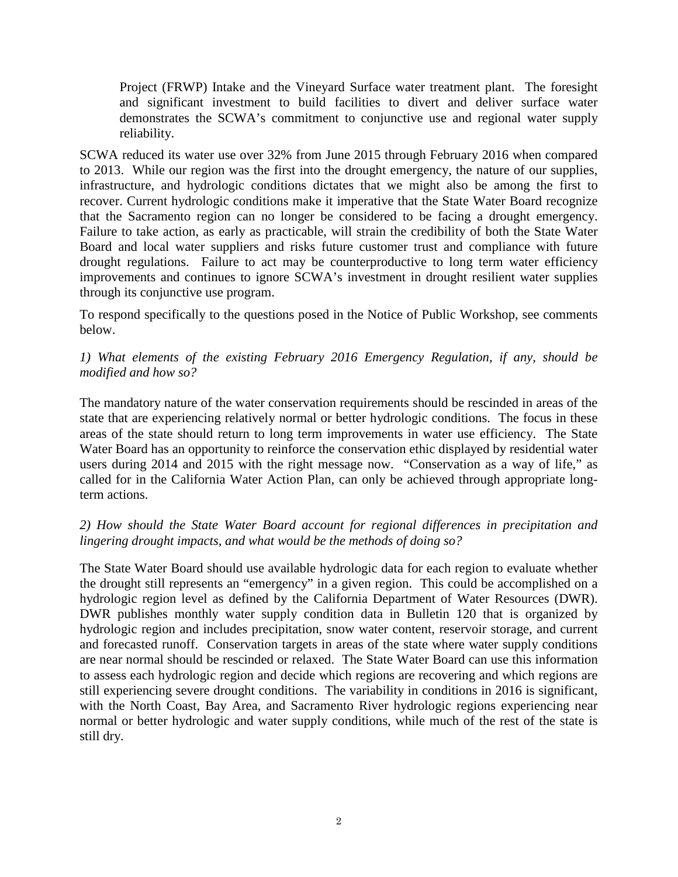Project (FRWP) Intake and the Vineyard Surface water treatment plant. The foresight and significant investment to build facilities to divert and deliver surface water demonstrates the SCWA's commitment to conjunctive use and regional water supply reliability.

SCWA reduced its water use over 32% from June 2015 through February 2016 when compared to 2013. While our region was the first into the drought emergency, the nature of our supplies, infrastructure, and hydrologic conditions dictates that we might also be among the first to recover. Current hydrologic conditions make it imperative that the State Water Board recognize that the Sacramento region can no longer be considered to be facing a drought emergency. Failure to take action, as early as practicable, will strain the credibility of both the State Water Board and local water suppliers and risks future customer trust and compliance with future drought regulations. Failure to act may be counterproductive to long term water efficiency improvements and continues to ignore SCWA's investment in drought resilient water supplies through its conjunctive use program.

To respond specifically to the questions posed in the Notice of Public Workshop, see comments below.

## *1) What elements of the existing February 2016 Emergency Regulation, if any, should be modified and how so?*

The mandatory nature of the water conservation requirements should be rescinded in areas of the state that are experiencing relatively normal or better hydrologic conditions. The focus in these areas of the state should return to long term improvements in water use efficiency. The State Water Board has an opportunity to reinforce the conservation ethic displayed by residential water users during 2014 and 2015 with the right message now. "Conservation as a way of life," as called for in the California Water Action Plan, can only be achieved through appropriate longterm actions.

## *2) How should the State Water Board account for regional differences in precipitation and lingering drought impacts, and what would be the methods of doing so?*

The State Water Board should use available hydrologic data for each region to evaluate whether the drought still represents an "emergency" in a given region. This could be accomplished on a hydrologic region level as defined by the California Department of Water Resources (DWR). DWR publishes monthly water supply condition data in Bulletin 120 that is organized by hydrologic region and includes precipitation, snow water content, reservoir storage, and current and forecasted runoff. Conservation targets in areas of the state where water supply conditions are near normal should be rescinded or relaxed. The State Water Board can use this information to assess each hydrologic region and decide which regions are recovering and which regions are still experiencing severe drought conditions. The variability in conditions in 2016 is significant, with the North Coast, Bay Area, and Sacramento River hydrologic regions experiencing near normal or better hydrologic and water supply conditions, while much of the rest of the state is still dry.